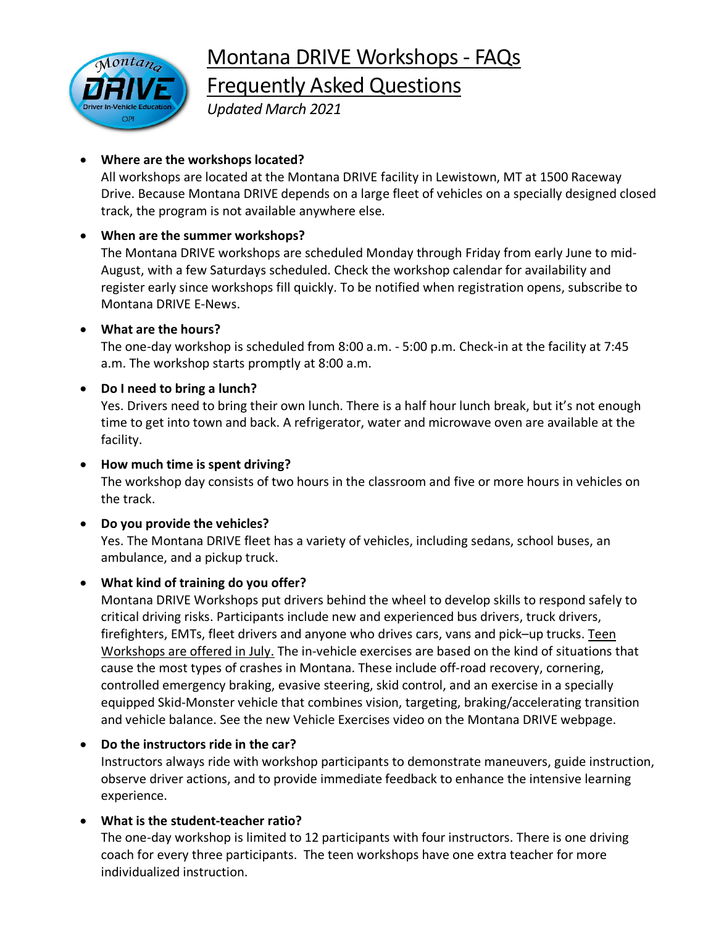Montana DRIVE Workshops - FAQs

ontan

# Frequently Asked Questions

*Updated March 2021*

# • **Where are the workshops located?**

All workshops are located at the Montana DRIVE facility in Lewistown, MT at 1500 Raceway Drive. Because Montana DRIVE depends on a large fleet of vehicles on a specially designed closed track, the program is not available anywhere else.

# • **When are the summer workshops?**

The Montana DRIVE workshops are scheduled Monday through Friday from early June to mid-August, with a few Saturdays scheduled. Check the workshop calendar for availability and register early since workshops fill quickly. To be notified when registration opens, subscribe to Montana DRIVE E-News.

# • **What are the hours?**

The one-day workshop is scheduled from 8:00 a.m. - 5:00 p.m. Check-in at the facility at 7:45 a.m. The workshop starts promptly at 8:00 a.m.

# • **Do I need to bring a lunch?**

Yes. Drivers need to bring their own lunch. There is a half hour lunch break, but it's not enough time to get into town and back. A refrigerator, water and microwave oven are available at the facility.

• **How much time is spent driving?** The workshop day consists of two hours in the classroom and five or more hours in vehicles on the track.

## • **Do you provide the vehicles?** Yes. The Montana DRIVE fleet has a variety of vehicles, including sedans, school buses, an ambulance, and a pickup truck.

# • **What kind of training do you offer?**

Montana DRIVE Workshops put drivers behind the wheel to develop skills to respond safely to critical driving risks. Participants include new and experienced bus drivers, truck drivers, firefighters, EMTs, fleet drivers and anyone who drives cars, vans and pick–up trucks. Teen Workshops are offered in July. The in-vehicle exercises are based on the kind of situations that cause the most types of crashes in Montana. These include off-road recovery, cornering, controlled emergency braking, evasive steering, skid control, and an exercise in a specially equipped Skid-Monster vehicle that combines vision, targeting, braking/accelerating transition and vehicle balance. See the new Vehicle Exercises video on the Montana DRIVE webpage.

# • **Do the instructors ride in the car?**

Instructors always ride with workshop participants to demonstrate maneuvers, guide instruction, observe driver actions, and to provide immediate feedback to enhance the intensive learning experience.

# • **What is the student-teacher ratio?**

The one-day workshop is limited to 12 participants with four instructors. There is one driving coach for every three participants. The teen workshops have one extra teacher for more individualized instruction.